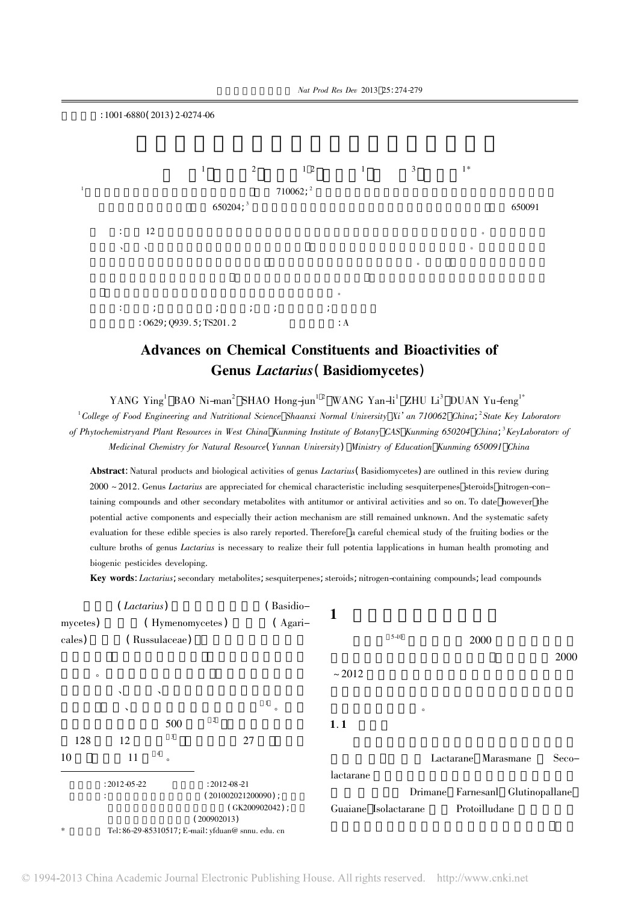

## Advances on Chemical Constituents and Bioactivities of Genus Lactarius( Basidiomycetes)

YANG Ying<sup>1</sup> BAO Ni-man<sup>2</sup> SHAO Hong-jun<sup>1-2</sup> WANG Yan-li<sup>1</sup> ZHU Li<sup>3</sup> DUAN Yu-feng<sup>1\*</sup>

<sup>1</sup>College of Food Engineering and Nutritional Science Shaanxi Normal University Xi' an 710062 China; <sup>2</sup>State Key Laboratorv of Phytochemistryand Plant Resources in West China Kunming Institute of Botany CAS Kunming 650204 China; <sup>3</sup>KeyLaboratorv of Medicinal Chemistry for Natural Resource (Yunnan University) Ministry of Education Kunming 650091 China

Abstract: Natural products and biological activities of genus *Lactarius* (Basidiomycetes) are outlined in this review during  $2000 \approx 2012$ . Genus *Lactarius* are appreciated for chemical characteristic including sesquiterpenes steroids nitrogen-containing compounds and other secondary metabolites with antitumor or antiviral activities and so on. To date however the potential active components and especially their action mechanism are still remained unknown. And the systematic safety evaluation for these edible species is also rarely reported. Therefore a careful chemical study of the fruiting bodies or the culture broths of genus *Lactarius* is necessary to realize their full potentia lapplications in human health promoting and biogenic pesticides developing.

Key words: Lactarius; secondary metabolites; sesquiterpenes; steroids; nitrogen-containing compounds; lead compounds

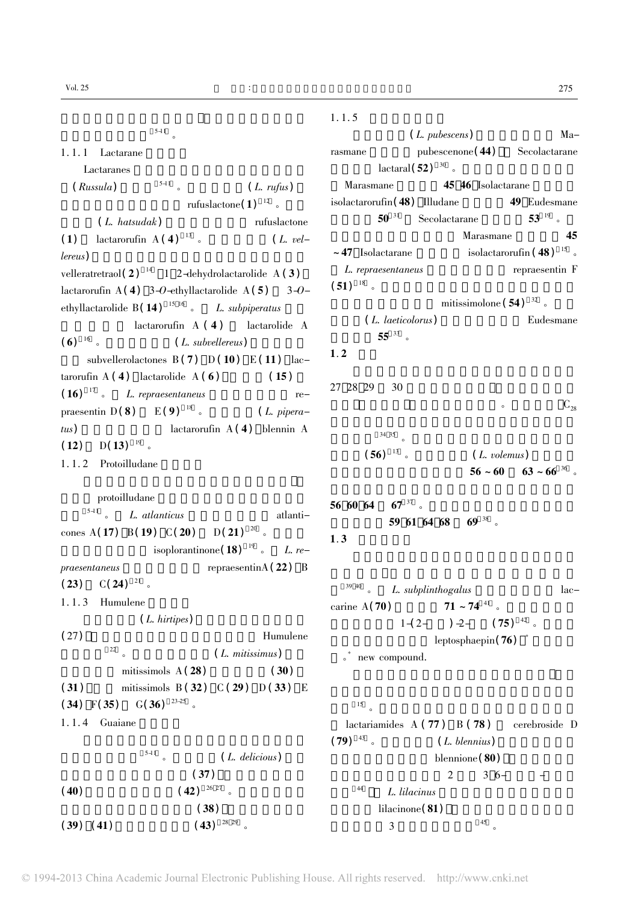$5-11$ 

1. 1. 1 Lactarane

Lactaranes $S$ 

 $(Russula)$   $5-11$  (L. rufus)

rufuslactone $(1)^{12}$  .

 $(L. \text{ } hatsudak)$   $\qquad \qquad \text{ } rufus lactone$ (1) lactarorufin  $A(4)$  <sup>13</sup> 。 (*L. vel* $lereus$ )  $$ velleratretraol(2)<sup>14</sup> 1 2-dehydrolactarolide A(3) lactarorufin A(4) 3-O-ethyllactarolide A(5) 3-Oethyllactarolide  $B( 14 )$  <sup>15 16</sup> 。 *L. subpiperatus*  $\text{latarorufin A} (4)$  lactarolide A ( 6)  $^{16}$  s (*L. subvellereus*) subvellerolactones  $B(7)$   $D(10)$   $E(11)$  lactarorufin A (4) lactarolide A (6) (15)  $(16)$  <sup>17</sup> 。 *L. repraesentaneus*  $re$ praesentin D(8) E(9)<sup>18</sup> 。 (*L. pipera*tus) lactarorufin A(4) blennin A  $(12)$  D(13)<sup>19</sup> 。

1. 1. 2 Protoilludane

protoilludane

 $\frac{5-11}{\infty}$  *L. atlanticus* atlanticones A(  $17)$  ,B(  $19)$  ,C(  $20)$  ,D(  $21)$   $^{20}$  。 isoplorantinone( 18)  $^{19}$  。 L. re $praesentaneus$  repraesentinA(22)  $\overline{B}$  $(23)$   $C(24)$   $21$   $\circ$  $1.1.3$  Humulene  $(L. hitives)$  $(27)$  Humulene  $\frac{22}{s}$  (*L. mitissimus*) mitissimols  $A(28)$   $(30)$ (31) mitissimols B (32)  $C(29)$  D (33) E  $(34)$  F(35) G(36)<sup>23-25</sup> 。  $1.1.4$  Guaiane

$$
\begin{array}{c}\n \stackrel{\text{5-11}}{\phantom{0}} \circ \quad (L. \ \text{delicious}) \\
\text{(37)}\n \end{array}
$$

$$
(40) \t(42)^{\frac{26.27}{6}} \cdot (38)
$$
  

$$
(39) (41) \t(43)^{\frac{28.29}{6}} \cdot (39)
$$

 $1.1.5$  $(L. \,^{12.5}C)$  Marasmane $p$ ubescenone $(44)$  Secolactarane  $\arctan(52)^{30}$ . Marasmane45 46 Isolactarane  $isolactarorufin(48)$  Illudane  $49$  Eudesmane  $50^{31}$  Secolactarane  $53^{19}$  . Marasmane 45 ~ 47 Isolactaraneisolactarorufin  $(48)^{15}$ . L. repraesentaneus repraesentin F  $(51)^{18}$ mitissimolone ( $54$ )  $32$ . (*L. laeticolorus*) Eudesmane  $55^{33}$  。  $1.2$  $27 \t28 \t29 \t30$  $\overline{\mathbf{C}}_{28}$  $34 \t35$  。  $(56)$  <sup>13</sup> 。 (*L. volemus*)  $56 \sim 60$   $63 \sim 66^{36}$  $56 \t60 \t64 \t67 \t37$  $59$  61 64 68 69 38  $1.3$ 39 40  $L. subplinthogalus$  laccarine  $A(70)$  $71 \sim 74$   $^{41}$  。

$$
1-(2-) 2- (75)^{42}
$$
leptosphaepin(76)

• new compound.

## $15<sub>o</sub>$

lactariamides  $A(77)$   $B(78)$  cerebroside D  $(79)$  <sup>43</sup> 。 (*L. blennius*) blennione (80)  $2 \t 3 \t 6 ^{44}$  L. lilacinus  $lilacinone(81)$  $\frac{3}{3}$   $\frac{45}{9}$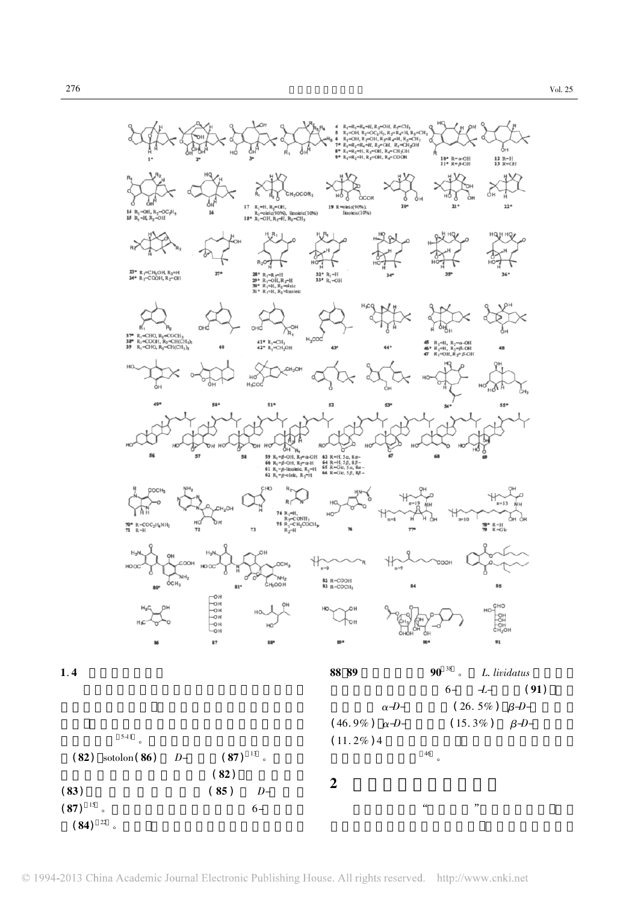

276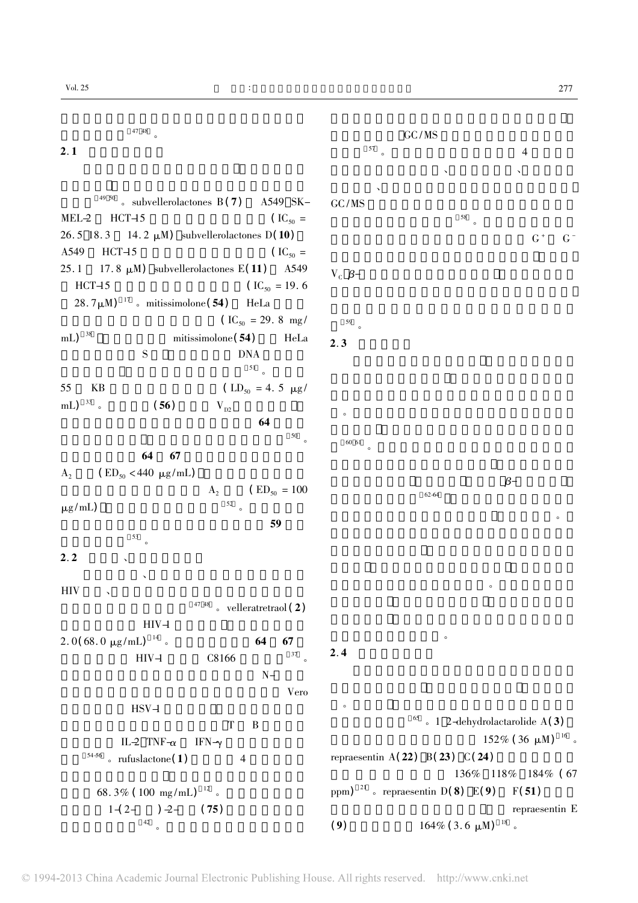物的重要源泉 <sup>47</sup> <sup>48</sup> 。  $2.1$  $49\frac{50}{8}$  subvellerolactones B(7) A549 SK-MEL-2 $HCT-15$   $(IC_{50} =$ 26. 5 18.14. 2  $\mu$ M) subvellerolactones D(10) A549 $HCT-15$   $(IC<sub>50</sub> =$ 25.17.8  $\mu$ M) subvellerolactones E(11) A549 HCT-15  $\text{(IC}_{50} = 19.6$  $28.7 \mu$ M)<sup>17</sup> 。mitissimolone(54) HeLa  $\text{(IC}_{50} = 29.8 \text{ mg}/\text{)}$ mL)  $^{38}$  mitissimolone( 54) HeLa S **DNA**  $51$  。 55KB  $(LD_{50} = 4.5 \mu g)$ mL) <sup>33</sup> 。 (56)  $V_{D2}$  $64$  $50<sub>o</sub>$ 过氧化麦角甾醇 64 67 对意大利蜂毒液中磷酸酶  $A<sub>2</sub>$  $(ED_{50}$  < 440  $\mu$ g/mL)  $A<sub>2</sub>$  $A_2$  (ED<sub>50</sub> = 100  $\mu$ g/mL)  $59$  $\frac{53}{9}$  $2.2$   $\sim$  $\mathcal{A} = \mathcal{A}$ HIV $V \sim \infty$  $47$  48 。velleratretraol(2)  $HIV-1$ 2. 0( 68. 0  $\mu$ g/mL)<sup>14</sup> 。 64 67  $HIV-1$   $C8166$   $37$  。  $N-$ 基苯基异丝氨酸得到的衍生物表现出良好的 Vero  $HSV-1$ 物可以影响细胞的有丝分裂次数 T B 淋巴细胞 IL-2 TNF- $\alpha$  IFN- $\gamma$  $54-56$  a rufuslactone (1) 4 68. 3% ( $100 \text{ mg/mL}$ )<sup>12</sup>.  $1-(2 )$   $-2 (75)$  $42$  。 GC/MS  $\frac{57}{100}$  . 剂萃取组分对大肠杆菌、枯草芽孢杆菌、沙门氏菌和  $\mathbf{v} = \mathbf{v}$ GC/MS  $C/MS$  $58<sub>o</sub>$  $G^+$   $G^ V_c$   $\beta$ - $\beta$ - $\beta$ -59  $2.3$  $\bullet$ 60 61  $\bullet$  $\beta$ - $62-64$  $\sim$  $\alpha$ 营养保健品和天然药物。  $2.4$  $\bullet$  $65$  。1 2-dehydrolactarolide A(3)  $152\%$  (36 μM)  $^{16}$  。 repraesentin  $A(22)$   $B(23)$   $C(24)$ 136% 118% 184% (67 ppm)  $^{21}$  s repraesentin D(8) E(9) F(51) repraesentin E (9)  $164\% (3.6 \mu M)^{-18}$ .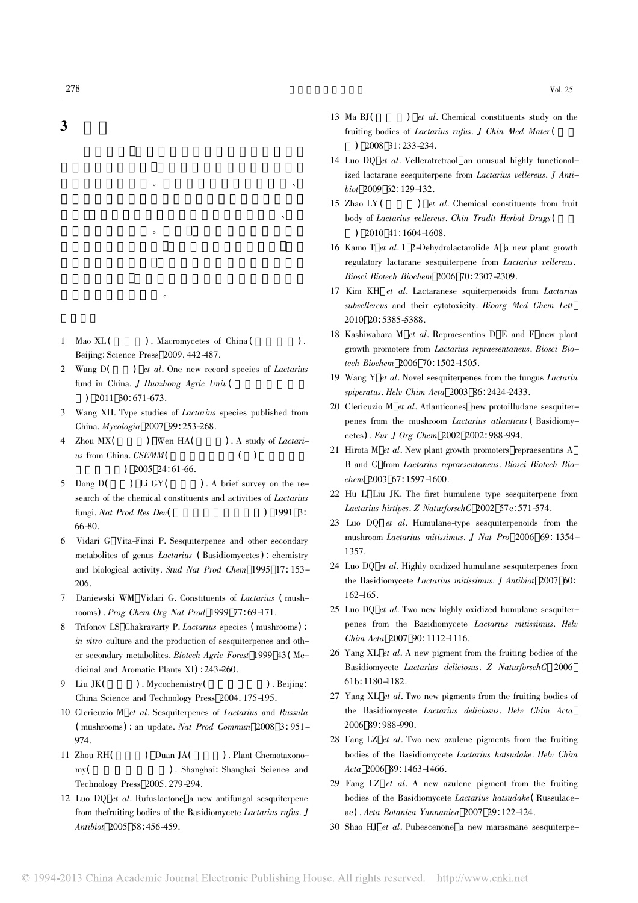## 3

1 Mao XL ( ). Macromycetes of China (  $\qquad$  ). Beijing: Science Press 2009. 442-487.

合物的发现奠定基础。

 $\sim$ 

 $R = \frac{1}{2}$  $\overline{O}$ 

- 2 Wang D(  $\int$  et al. One new record species of *Lactarius* fund in China. J Huazhong Agric Univ (  $)$  2011 30: 671-673.
- 3 Wang XH. Type studies of *Lactarius* species published from China. Mycologia 2007 99: 253-268.
- 4 Zhou MX(  $\sum_{k=1}^{\infty}$  Wen HA(  $\sum_{k=1}^{\infty}$  ). A study of *Lactari* $us$  from China.  $CSEMM($  $)$  2005 24: 61-66.
- 5 Dong  $D($  $\sum_{i=1}^{n}$  Li GY(  $\sum_{i=1}^{n}$ ). A brief survey on the research of the chemical constituents and activities of *Lactarius* fungi. Nat Prod Res Dev $($   $)$  1991 3: 66-80.
- 6 Vidari G Vita-Finzi P. Sesquiterpenes and other secondary metabolites of genus *Lactarius* (Basidiomycetes) : chemistry and biological activity. Stud Nat Prod Chem 1995 17: 153-206.
- 7Daniewski WM Vidari G. Constituents of Lactarius (mushrooms) . Prog Chem Org Nat Prod <sup>1999</sup> <sup>77</sup>: 69-171.
- 8 Trifonov LS Chakravarty P. Lactarius species ( mushrooms) : in vitro culture and the production of sesquiterpenes and other secondary metabolites. Biotech Agric Forest <sup>1999</sup> <sup>43</sup>( Medicinal and Aromatic Plants XI) : 243-260.
- 9Liu JK( ). Mycochemistry( ). Beijing: China Science and Technology Press 2004. 175-195.
- 10 Clericuzio M et al. Sesquiterpenes of Lactarius and Russula ( mushrooms) : an update. Nat Prod Commun <sup>2008</sup> <sup>3</sup>: 951- 974.
- 11 Zhou RH( ) Duan JA( ). Plant Chemotaxonomy( ). Shanghai: Shanghai Science and Technology Press 2005. 279-294.
- 12 Luo DO *et al.* Rufuslactone a new antifungal sesquiterpene from thefruiting bodies of the Basidiomycete Lactarius rufus. J Antibiot <sup>2005</sup> <sup>58</sup>: 456-459.
- 13 Ma BJ(  $\int$  *et al.* Chemical constituents study on the fruiting bodies of Lactarius rufus. J Chin Med Mater ( )  $2008$   $31: 233 - 234$ .
- 14 Luo DQ et al. Velleratretraol an unusual highly functionalized lactarane sesquiterpene from Lactarius vellereus. I Antibiot 2009 62:129-132.
- 15 Zhao LY (  $\int$  *et al.* Chemical constituents from fruit body of *Lactarius vellereus. Chin Tradit Herbal Drugs* ( )  $2010$  41: 1604-1608.
- 16 Kamo T et al. 1 2-Dehydrolactarolide A a new plant growth regulatory lactarane sesquiterpene from *Lactarius vellereus*. Biosci Biotech Biochem <sup>2006</sup> <sup>70</sup>: 2307-2309.
- 17 Kim KH et al. Lactaranese squiterpenoids from *Lactarius* subvellereus and their cytotoxicity. Bioorg Med Chem Lett 2010 <sup>20</sup>: 5385-5388.
- 18 Kashiwabara M et al. Repraesentins D E and F new plant growth promoters from Lactarius repraesentaneus. Biosci Biotech Biochem <sup>2006</sup> <sup>70</sup>: 1502-1505.
- 19 Wang Y *et al.* Novel sesquiterpenes from the fungus *Lactariu* spiperatus. Helv Chim Acta <sup>2003</sup> <sup>86</sup>: 2424-2433.
- 20 Clericuzio M *et al.* Atlanticones new protoilludane sesquiterpenes from the mushroom *Lactarius atlanticus* (Basidiomycetes) . Eur <sup>J</sup> Org Chem <sup>2002</sup> <sup>2002</sup>: 988-994.
- 21 Hirota M *et al.* New plant growth promoters repraesentins A B and C from *Lactarius repraesentaneus*. Biosci Biotech Biochem 2003 67:1597-1600.
- 22 Hu L Liu JK. The first humulene type sesquiterpene from Lactarius hirtipes. <sup>Z</sup> NaturforschC <sup>2002</sup> 57c: 571-574.
- 23 Luo DO *et al.* Humulane-type sesquiterpenoids from the mushroom Lactarius mitissimus. <sup>J</sup> Nat Pro <sup>2006</sup> <sup>69</sup>: 1354- 1357.
- 24 Luo DO *et al.* Highly oxidized humulane sesquiterpenes from the Basidiomycete Lactarius mitissimus. J Antibiot 2007 60: 162-165.
- 25 Luo DO *et al.* Two new highly oxidized humulane sesquiterpenes from the Basidiomycete Lactarius mitissimus. Helv Chim Acta 2007 90: 1112-1116.
- 26 Yang XL *et al.* A new pigment from the fruiting bodies of the Basidiomycete Lactarius deliciosus. Z NaturforschC 2006 61b: 1180-1182.
- 27 Yang XL *et al.* Two new pigments from the fruiting bodies of the Basidiomycete Lactarius deliciosus. Helv Chim Acta 2006 <sup>89</sup>: 988-990.
- 28 Fang LZ *et al.* Two new azulene pigments from the fruiting bodies of the Basidiomycete Lactarius hatsudake. Helv Chim Acta 2006 89: 1463-1466.
- 29 Fang LZ *et al.* A new azulene pigment from the fruiting bodies of the Basidiomycete Lactarius hatsudake (Russulaceae) . Acta Botanica Yunnanica <sup>2007</sup> <sup>29</sup>: 122-124.
- 30 Shao HJ *et al.* Pubescenone a new marasmane sesquiterpe-